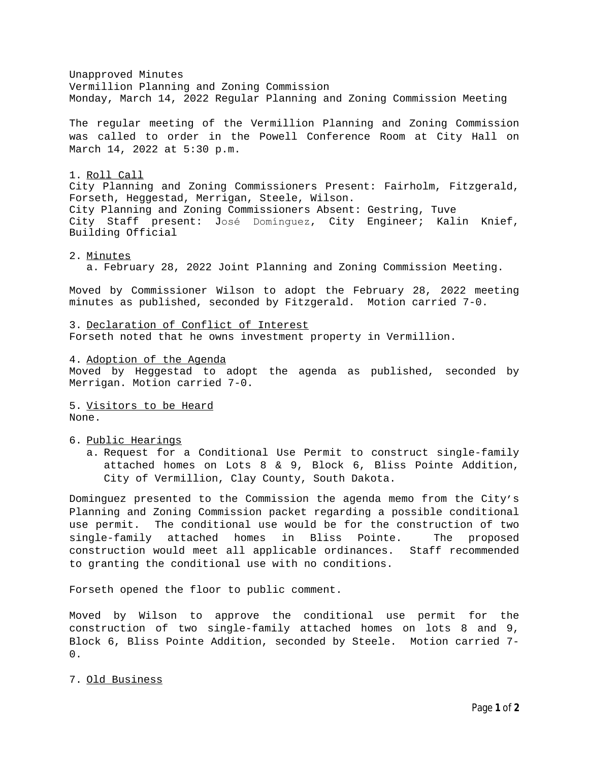Unapproved Minutes Vermillion Planning and Zoning Commission Monday, March 14, 2022 Regular Planning and Zoning Commission Meeting The regular meeting of the Vermillion Planning and Zoning Commission was called to order in the Powell Conference Room at City Hall on March 14, 2022 at 5:30 p.m. 1. Roll Call City Planning and Zoning Commissioners Present: Fairholm, Fitzgerald, Forseth, Heggestad, Merrigan, Steele, Wilson. City Planning and Zoning Commissioners Absent: Gestring, Tuve City Staff present: José Domínguez, City Engineer; Kalin Knief, Building Official

## 2. Minutes

a. February 28, 2022 Joint Planning and Zoning Commission Meeting.

Moved by Commissioner Wilson to adopt the February 28, 2022 meeting minutes as published, seconded by Fitzgerald. Motion carried 7-0.

3. Declaration of Conflict of Interest Forseth noted that he owns investment property in Vermillion.

4. Adoption of the Agenda Moved by Heggestad to adopt the agenda as published, seconded by Merrigan. Motion carried 7-0.

5. Visitors to be Heard None.

6. Public Hearings

a. Request for a Conditional Use Permit to construct single-family attached homes on Lots 8 & 9, Block 6, Bliss Pointe Addition, City of Vermillion, Clay County, South Dakota.

Dominguez presented to the Commission the agenda memo from the City's Planning and Zoning Commission packet regarding a possible conditional use permit. The conditional use would be for the construction of two single-family attached homes in Bliss Pointe. The proposed construction would meet all applicable ordinances. Staff recommended to granting the conditional use with no conditions.

Forseth opened the floor to public comment.

Moved by Wilson to approve the conditional use permit for the construction of two single-family attached homes on lots 8 and 9, Block 6, Bliss Pointe Addition, seconded by Steele. Motion carried 7-  $0$ .

7. Old Business